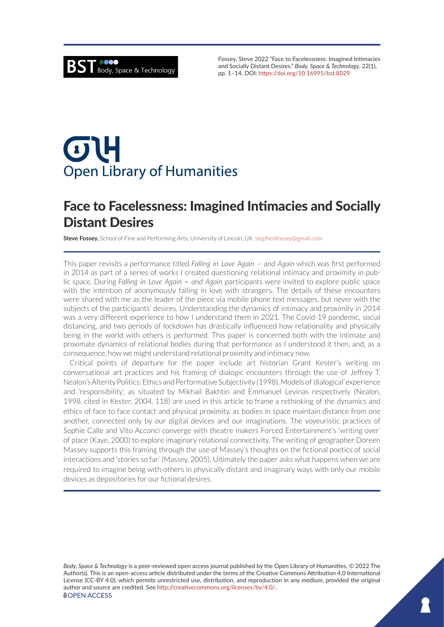Fossey, Steve 2022 "Face to Facelessness: Imagined Intimacies and Socially Distant Desires." *Body, Space & Technology*, 22(1), pp. 1–14. DOI: <https://doi.org/10.16995/bst.8029>

# $\sigma$ U **Open Library of Humanities**

# Face to Facelessness: Imagined Intimacies and Socially Distant Desires

**Steve Fossey,** School of Fine and Performing Arts, University of Lincoln, UK, [stephenfossey@gmail.com](mailto:stephenfossey@gmail.com)

This paper revisits a performance titled *Falling in Love Again – and Again* which was first performed in 2014 as part of a series of works I created questioning relational intimacy and proximity in public space. During *Falling in Love Again – and Again* participants were invited to explore public space with the intention of anonymously falling in love with strangers. The details of these encounters were shared with me as the leader of the piece via mobile phone text messages, but never with the subjects of the participants' desires. Understanding the dynamics of intimacy and proximity in 2014 was a very different experience to how I understand them in 2021. The Covid-19 pandemic, social distancing, and two periods of lockdown has drastically influenced how relationality and physically being in the world with others is performed. This paper is concerned both with the intimate and proximate dynamics of relational bodies during that performance as I understood it then, and, as a consequence, how we might understand relational proximity and intimacy now.

Critical points of departure for the paper include art historian Grant Kester's writing on conversational art practices and his framing of dialogic encounters through the use of Jeffrey T. Nealon's Alterity Politics: Ethics and Performative Subjectivity (1998). Models of 'dialogical' experience and 'responsibility', as situated by Mikhail Bakhtin and Emmanuel Levinas respectively (Nealon, 1998, cited in Kester, 2004, 118) are used in this article to frame a rethinking of the dynamics and ethics of face to face contact and physical proximity, as bodies in space maintain distance from one another, connected only by our digital devices and our imaginations. The voyeuristic practices of Sophie Calle and Vito Acconci converge with theatre makers Forced Entertainment's 'writing over' of place (Kaye, 2000) to explore imaginary relational connectivity. The writing of geographer Doreen Massey supports this framing through the use of Massey's thoughts on the fictional poetics of social interactions and 'stories so far' (Massey, 2005). Ultimately the paper asks what happens when we are required to imagine being with others in physically distant and imaginary ways with only our mobile devices as depositories for our fictional desires.

*Body, Space & Technology* is a peer-reviewed open access journal published by the Open Library of Humanities. © 2022 The Author(s). This is an open-access article distributed under the terms of the Creative Commons Attribution 4.0 International License (CC-BY 4.0), which permits unrestricted use, distribution, and reproduction in any medium, provided the original author and source are credited. See <http://creativecommons.org/licenses/by/4.0/>.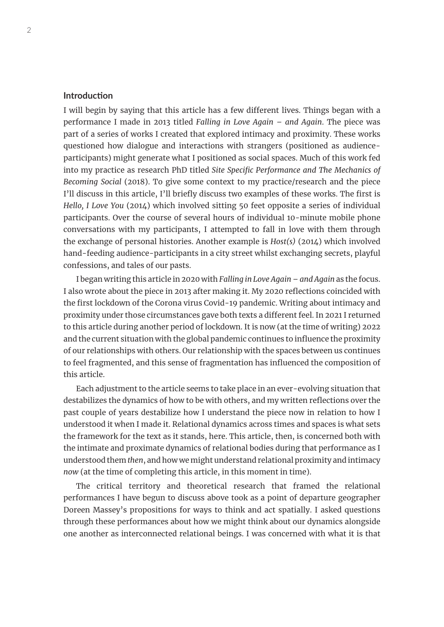# **Introduction**

I will begin by saying that this article has a few different lives. Things began with a performance I made in 2013 titled *Falling in Love Again – and Again*. The piece was part of a series of works I created that explored intimacy and proximity. These works questioned how dialogue and interactions with strangers (positioned as audienceparticipants) might generate what I positioned as social spaces. Much of this work fed into my practice as research PhD titled *Site Specific Performance and The Mechanics of Becoming Social* (2018). To give some context to my practice/research and the piece I'll discuss in this article, I'll briefly discuss two examples of these works. The first is *Hello, I Love You* (2014) which involved sitting 50 feet opposite a series of individual participants. Over the course of several hours of individual 10-minute mobile phone conversations with my participants, I attempted to fall in love with them through the exchange of personal histories. Another example is *Host(s)* (2014) which involved hand-feeding audience-participants in a city street whilst exchanging secrets, playful confessions, and tales of our pasts.

I began writing this article in 2020 with *Falling in Love Again – and Again* as the focus. I also wrote about the piece in 2013 after making it. My 2020 reflections coincided with the first lockdown of the Corona virus Covid-19 pandemic. Writing about intimacy and proximity under those circumstances gave both texts a different feel. In 2021 I returned to this article during another period of lockdown. It is now (at the time of writing) 2022 and the current situation with the global pandemic continues to influence the proximity of our relationships with others. Our relationship with the spaces between us continues to feel fragmented, and this sense of fragmentation has influenced the composition of this article.

Each adjustment to the article seems to take place in an ever-evolving situation that destabilizes the dynamics of how to be with others, and my written reflections over the past couple of years destabilize how I understand the piece now in relation to how I understood it when I made it. Relational dynamics across times and spaces is what sets the framework for the text as it stands, here. This article, then, is concerned both with the intimate and proximate dynamics of relational bodies during that performance as I understood them *then*, and how we might understand relational proximity and intimacy *now* (at the time of completing this article, in this moment in time).

The critical territory and theoretical research that framed the relational performances I have begun to discuss above took as a point of departure geographer Doreen Massey's propositions for ways to think and act spatially. I asked questions through these performances about how we might think about our dynamics alongside one another as interconnected relational beings. I was concerned with what it is that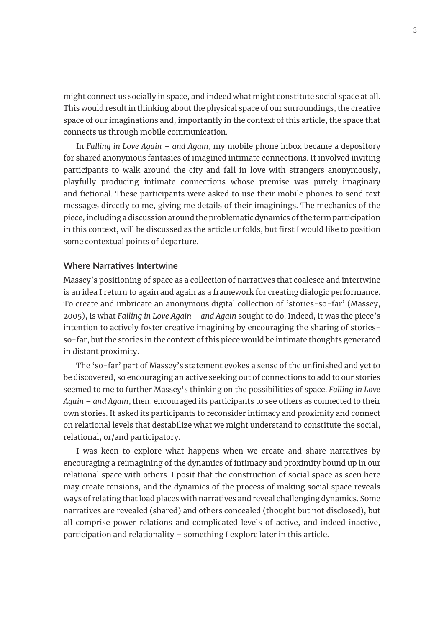might connect us socially in space, and indeed what might constitute social space at all. This would result in thinking about the physical space of our surroundings, the creative space of our imaginations and, importantly in the context of this article, the space that connects us through mobile communication.

In *Falling in Love Again – and Again*, my mobile phone inbox became a depository for shared anonymous fantasies of imagined intimate connections. It involved inviting participants to walk around the city and fall in love with strangers anonymously, playfully producing intimate connections whose premise was purely imaginary and fictional. These participants were asked to use their mobile phones to send text messages directly to me, giving me details of their imaginings. The mechanics of the piece, including a discussion around the problematic dynamics of the term participation in this context, will be discussed as the article unfolds, but first I would like to position some contextual points of departure.

# **Where Narratives Intertwine**

Massey's positioning of space as a collection of narratives that coalesce and intertwine is an idea I return to again and again as a framework for creating dialogic performance. To create and imbricate an anonymous digital collection of 'stories-so-far' (Massey, 2005), is what *Falling in Love Again – and Again* sought to do. Indeed, it was the piece's intention to actively foster creative imagining by encouraging the sharing of storiesso-far, but the stories in the context of this piece would be intimate thoughts generated in distant proximity.

The 'so-far' part of Massey's statement evokes a sense of the unfinished and yet to be discovered, so encouraging an active seeking out of connections to add to our stories seemed to me to further Massey's thinking on the possibilities of space. *Falling in Love Again – and Again*, then, encouraged its participants to see others as connected to their own stories. It asked its participants to reconsider intimacy and proximity and connect on relational levels that destabilize what we might understand to constitute the social, relational, or/and participatory.

I was keen to explore what happens when we create and share narratives by encouraging a reimagining of the dynamics of intimacy and proximity bound up in our relational space with others. I posit that the construction of social space as seen here may create tensions, and the dynamics of the process of making social space reveals ways of relating that load places with narratives and reveal challenging dynamics. Some narratives are revealed (shared) and others concealed (thought but not disclosed), but all comprise power relations and complicated levels of active, and indeed inactive, participation and relationality – something I explore later in this article.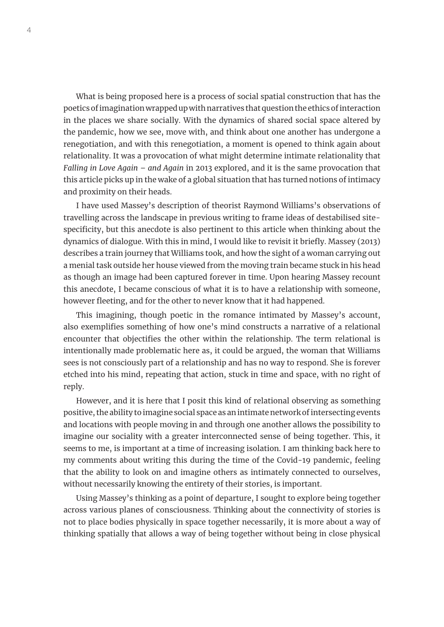What is being proposed here is a process of social spatial construction that has the poetics of imagination wrapped up with narratives that question the ethics of interaction in the places we share socially. With the dynamics of shared social space altered by the pandemic, how we see, move with, and think about one another has undergone a renegotiation, and with this renegotiation, a moment is opened to think again about relationality. It was a provocation of what might determine intimate relationality that *Falling in Love Again – and Again* in 2013 explored, and it is the same provocation that this article picks up in the wake of a global situation that has turned notions of intimacy and proximity on their heads.

I have used Massey's description of theorist Raymond Williams's observations of travelling across the landscape in previous writing to frame ideas of destabilised sitespecificity, but this anecdote is also pertinent to this article when thinking about the dynamics of dialogue. With this in mind, I would like to revisit it briefly. Massey (2013) describes a train journey that Williams took, and how the sight of a woman carrying out a menial task outside her house viewed from the moving train became stuck in his head as though an image had been captured forever in time. Upon hearing Massey recount this anecdote, I became conscious of what it is to have a relationship with someone, however fleeting, and for the other to never know that it had happened.

This imagining, though poetic in the romance intimated by Massey's account, also exemplifies something of how one's mind constructs a narrative of a relational encounter that objectifies the other within the relationship. The term relational is intentionally made problematic here as, it could be argued, the woman that Williams sees is not consciously part of a relationship and has no way to respond. She is forever etched into his mind, repeating that action, stuck in time and space, with no right of reply.

However, and it is here that I posit this kind of relational observing as something positive, the ability to imagine social space as an intimate network of intersecting events and locations with people moving in and through one another allows the possibility to imagine our sociality with a greater interconnected sense of being together. This, it seems to me, is important at a time of increasing isolation. I am thinking back here to my comments about writing this during the time of the Covid-19 pandemic, feeling that the ability to look on and imagine others as intimately connected to ourselves, without necessarily knowing the entirety of their stories, is important.

Using Massey's thinking as a point of departure, I sought to explore being together across various planes of consciousness. Thinking about the connectivity of stories is not to place bodies physically in space together necessarily, it is more about a way of thinking spatially that allows a way of being together without being in close physical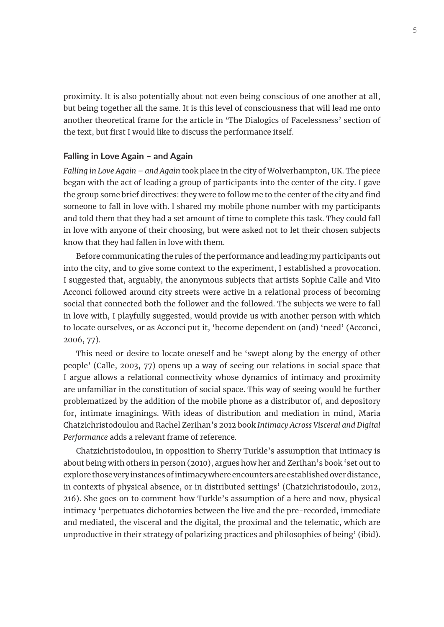proximity. It is also potentially about not even being conscious of one another at all, but being together all the same. It is this level of consciousness that will lead me onto another theoretical frame for the article in 'The Dialogics of Facelessness' section of the text, but first I would like to discuss the performance itself.

### **Falling in Love Again – and Again**

*Falling in Love Again – and Again* took place in the city of Wolverhampton, UK. The piece began with the act of leading a group of participants into the center of the city. I gave the group some brief directives: they were to follow me to the center of the city and find someone to fall in love with. I shared my mobile phone number with my participants and told them that they had a set amount of time to complete this task. They could fall in love with anyone of their choosing, but were asked not to let their chosen subjects know that they had fallen in love with them.

Before communicating the rules of the performance and leading my participants out into the city, and to give some context to the experiment, I established a provocation. I suggested that, arguably, the anonymous subjects that artists Sophie Calle and Vito Acconci followed around city streets were active in a relational process of becoming social that connected both the follower and the followed. The subjects we were to fall in love with, I playfully suggested, would provide us with another person with which to locate ourselves, or as Acconci put it, 'become dependent on (and) 'need' (Acconci, 2006, 77).

This need or desire to locate oneself and be 'swept along by the energy of other people' (Calle, 2003, 77) opens up a way of seeing our relations in social space that I argue allows a relational connectivity whose dynamics of intimacy and proximity are unfamiliar in the constitution of social space. This way of seeing would be further problematized by the addition of the mobile phone as a distributor of, and depository for, intimate imaginings. With ideas of distribution and mediation in mind, Maria Chatzichristodoulou and Rachel Zerihan's 2012 book *Intimacy Across Visceral and Digital Performance* adds a relevant frame of reference.

Chatzichristodoulou, in opposition to Sherry Turkle's assumption that intimacy is about being with others in person (2010), argues how her and Zerihan's book 'set out to explore those very instances of intimacy where encounters are established over distance, in contexts of physical absence, or in distributed settings' (Chatzichristodoulo, 2012, 216). She goes on to comment how Turkle's assumption of a here and now, physical intimacy 'perpetuates dichotomies between the live and the pre-recorded, immediate and mediated, the visceral and the digital, the proximal and the telematic, which are unproductive in their strategy of polarizing practices and philosophies of being' (ibid).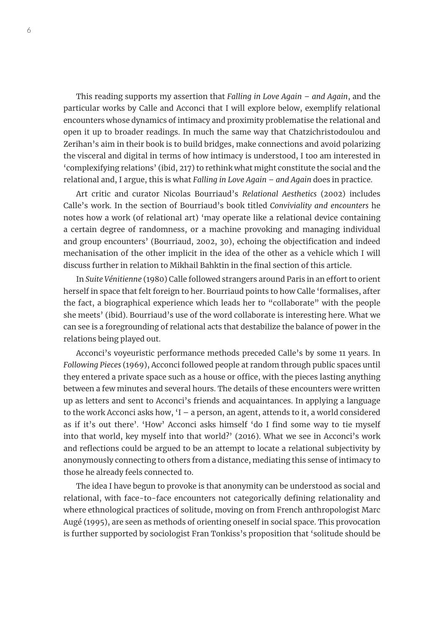This reading supports my assertion that *Falling in Love Again – and Again*, and the particular works by Calle and Acconci that I will explore below, exemplify relational encounters whose dynamics of intimacy and proximity problematise the relational and open it up to broader readings. In much the same way that Chatzichristodoulou and Zerihan's aim in their book is to build bridges, make connections and avoid polarizing the visceral and digital in terms of how intimacy is understood, I too am interested in 'complexifying relations' (ibid, 217) to rethink what might constitute the social and the relational and, I argue, this is what *Falling in Love Again – and Again* does in practice.

Art critic and curator Nicolas Bourriaud's *Relational Aesthetics* (2002) includes Calle's work. In the section of Bourriaud's book titled *Conviviality and encounters* he notes how a work (of relational art) 'may operate like a relational device containing a certain degree of randomness, or a machine provoking and managing individual and group encounters' (Bourriaud, 2002, 30), echoing the objectification and indeed mechanisation of the other implicit in the idea of the other as a vehicle which I will discuss further in relation to Mikhail Bahktin in the final section of this article.

In *Suite Vénitienne* (1980) Calle followed strangers around Paris in an effort to orient herself in space that felt foreign to her. Bourriaud points to how Calle 'formalises, after the fact, a biographical experience which leads her to "collaborate" with the people she meets' (ibid). Bourriaud's use of the word collaborate is interesting here. What we can see is a foregrounding of relational acts that destabilize the balance of power in the relations being played out.

Acconci's voyeuristic performance methods preceded Calle's by some 11 years. In *Following Pieces* (1969), Acconci followed people at random through public spaces until they entered a private space such as a house or office, with the pieces lasting anything between a few minutes and several hours. The details of these encounters were written up as letters and sent to Acconci's friends and acquaintances. In applying a language to the work Acconci asks how, 'I – a person, an agent, attends to it, a world considered as if it's out there'. 'How' Acconci asks himself 'do I find some way to tie myself into that world, key myself into that world?' (2016). What we see in Acconci's work and reflections could be argued to be an attempt to locate a relational subjectivity by anonymously connecting to others from a distance, mediating this sense of intimacy to those he already feels connected to.

The idea I have begun to provoke is that anonymity can be understood as social and relational, with face-to-face encounters not categorically defining relationality and where ethnological practices of solitude, moving on from French anthropologist Marc Augé (1995), are seen as methods of orienting oneself in social space. This provocation is further supported by sociologist Fran Tonkiss's proposition that 'solitude should be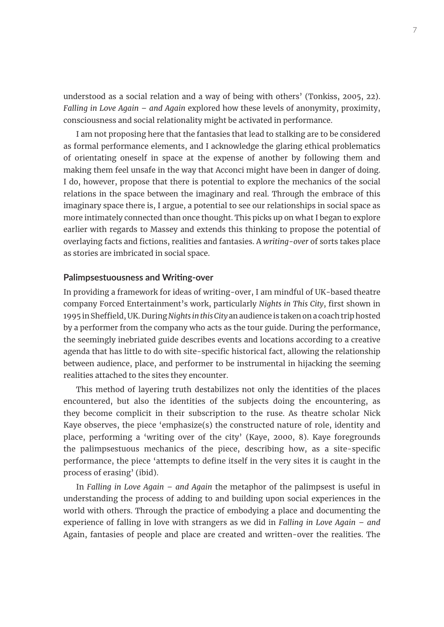understood as a social relation and a way of being with others' (Tonkiss, 2005, 22). *Falling in Love Again – and Again* explored how these levels of anonymity, proximity, consciousness and social relationality might be activated in performance.

I am not proposing here that the fantasies that lead to stalking are to be considered as formal performance elements, and I acknowledge the glaring ethical problematics of orientating oneself in space at the expense of another by following them and making them feel unsafe in the way that Acconci might have been in danger of doing. I do, however, propose that there is potential to explore the mechanics of the social relations in the space between the imaginary and real. Through the embrace of this imaginary space there is, I argue, a potential to see our relationships in social space as more intimately connected than once thought. This picks up on what I began to explore earlier with regards to Massey and extends this thinking to propose the potential of overlaying facts and fictions, realities and fantasies. A *writing-over* of sorts takes place as stories are imbricated in social space.

#### **Palimpsestuousness and Writing-over**

In providing a framework for ideas of writing-over, I am mindful of UK-based theatre company Forced Entertainment's work, particularly *Nights in This City*, first shown in 1995 in Sheffield, UK. During *Nights in this City* an audience is taken on a coach trip hosted by a performer from the company who acts as the tour guide. During the performance, the seemingly inebriated guide describes events and locations according to a creative agenda that has little to do with site-specific historical fact, allowing the relationship between audience, place, and performer to be instrumental in hijacking the seeming realities attached to the sites they encounter.

This method of layering truth destabilizes not only the identities of the places encountered, but also the identities of the subjects doing the encountering, as they become complicit in their subscription to the ruse. As theatre scholar Nick Kaye observes, the piece 'emphasize(s) the constructed nature of role, identity and place, performing a 'writing over of the city' (Kaye, 2000, 8). Kaye foregrounds the palimpsestuous mechanics of the piece, describing how, as a site-specific performance, the piece 'attempts to define itself in the very sites it is caught in the process of erasing' (ibid).

In *Falling in Love Again – and Again* the metaphor of the palimpsest is useful in understanding the process of adding to and building upon social experiences in the world with others. Through the practice of embodying a place and documenting the experience of falling in love with strangers as we did in *Falling in Love Again – and*  Again, fantasies of people and place are created and written-over the realities. The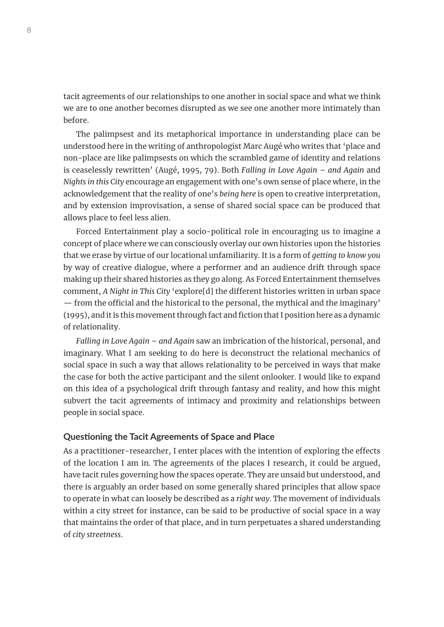tacit agreements of our relationships to one another in social space and what we think we are to one another becomes disrupted as we see one another more intimately than before.

The palimpsest and its metaphorical importance in understanding place can be understood here in the writing of anthropologist Marc Augé who writes that 'place and non-place are like palimpsests on which the scrambled game of identity and relations is ceaselessly rewritten' (Augé, 1995, 79). Both *Falling in Love Again – and Again* and *Nights in this City* encourage an engagement with one's own sense of place where, in the acknowledgement that the reality of one's *being here* is open to creative interpretation, and by extension improvisation, a sense of shared social space can be produced that allows place to feel less alien.

Forced Entertainment play a socio-political role in encouraging us to imagine a concept of place where we can consciously overlay our own histories upon the histories that we erase by virtue of our locational unfamiliarity. It is a form of *getting to know you* by way of creative dialogue, where a performer and an audience drift through space making up their shared histories as they go along. As Forced Entertainment themselves comment, *A Night in This City* 'explore[d] the different histories written in urban space — from the official and the historical to the personal, the mythical and the imaginary' (1995), and it is this movement through fact and fiction that I position here as a dynamic of relationality.

*Falling in Love Again – and Again* saw an imbrication of the historical, personal, and imaginary. What I am seeking to do here is deconstruct the relational mechanics of social space in such a way that allows relationality to be perceived in ways that make the case for both the active participant and the silent onlooker. I would like to expand on this idea of a psychological drift through fantasy and reality, and how this might subvert the tacit agreements of intimacy and proximity and relationships between people in social space.

### **Questioning the Tacit Agreements of Space and Place**

As a practitioner-researcher, I enter places with the intention of exploring the effects of the location I am in. The agreements of the places I research, it could be argued, have tacit rules governing how the spaces operate. They are unsaid but understood, and there is arguably an order based on some generally shared principles that allow space to operate in what can loosely be described as a *right way*. The movement of individuals within a city street for instance, can be said to be productive of social space in a way that maintains the order of that place, and in turn perpetuates a shared understanding of *city streetness*.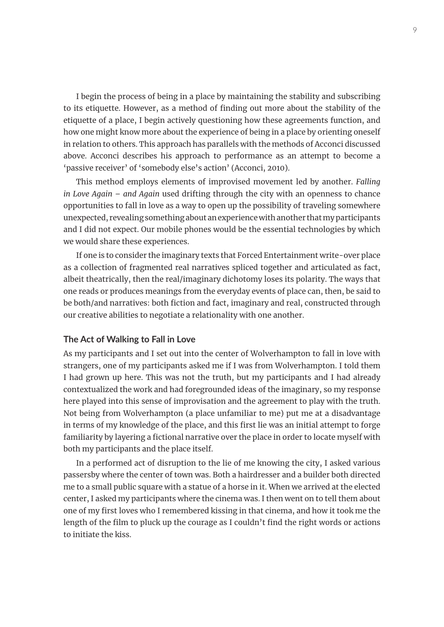I begin the process of being in a place by maintaining the stability and subscribing to its etiquette. However, as a method of finding out more about the stability of the etiquette of a place, I begin actively questioning how these agreements function, and how one might know more about the experience of being in a place by orienting oneself in relation to others. This approach has parallels with the methods of Acconci discussed above. Acconci describes his approach to performance as an attempt to become a 'passive receiver' of 'somebody else's action' (Acconci, 2010).

This method employs elements of improvised movement led by another. *Falling in Love Again – and Again* used drifting through the city with an openness to chance opportunities to fall in love as a way to open up the possibility of traveling somewhere unexpected, revealing something about an experience with another that my participants and I did not expect. Our mobile phones would be the essential technologies by which we would share these experiences.

If one is to consider the imaginary texts that Forced Entertainment write-over place as a collection of fragmented real narratives spliced together and articulated as fact, albeit theatrically, then the real/imaginary dichotomy loses its polarity. The ways that one reads or produces meanings from the everyday events of place can, then, be said to be both/and narratives: both fiction and fact, imaginary and real, constructed through our creative abilities to negotiate a relationality with one another.

#### **The Act of Walking to Fall in Love**

As my participants and I set out into the center of Wolverhampton to fall in love with strangers, one of my participants asked me if I was from Wolverhampton. I told them I had grown up here. This was not the truth, but my participants and I had already contextualized the work and had foregrounded ideas of the imaginary, so my response here played into this sense of improvisation and the agreement to play with the truth. Not being from Wolverhampton (a place unfamiliar to me) put me at a disadvantage in terms of my knowledge of the place, and this first lie was an initial attempt to forge familiarity by layering a fictional narrative over the place in order to locate myself with both my participants and the place itself.

In a performed act of disruption to the lie of me knowing the city, I asked various passersby where the center of town was. Both a hairdresser and a builder both directed me to a small public square with a statue of a horse in it. When we arrived at the elected center, I asked my participants where the cinema was. I then went on to tell them about one of my first loves who I remembered kissing in that cinema, and how it took me the length of the film to pluck up the courage as I couldn't find the right words or actions to initiate the kiss.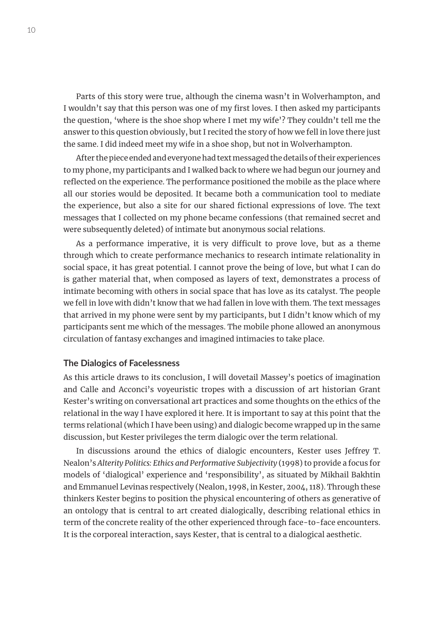Parts of this story were true, although the cinema wasn't in Wolverhampton, and I wouldn't say that this person was one of my first loves. I then asked my participants the question, 'where is the shoe shop where I met my wife'? They couldn't tell me the answer to this question obviously, but I recited the story of how we fell in love there just the same. I did indeed meet my wife in a shoe shop, but not in Wolverhampton.

After the piece ended and everyone had text messaged the details of their experiences to my phone, my participants and I walked back to where we had begun our journey and reflected on the experience. The performance positioned the mobile as the place where all our stories would be deposited. It became both a communication tool to mediate the experience, but also a site for our shared fictional expressions of love. The text messages that I collected on my phone became confessions (that remained secret and were subsequently deleted) of intimate but anonymous social relations.

As a performance imperative, it is very difficult to prove love, but as a theme through which to create performance mechanics to research intimate relationality in social space, it has great potential. I cannot prove the being of love, but what I can do is gather material that, when composed as layers of text, demonstrates a process of intimate becoming with others in social space that has love as its catalyst. The people we fell in love with didn't know that we had fallen in love with them. The text messages that arrived in my phone were sent by my participants, but I didn't know which of my participants sent me which of the messages. The mobile phone allowed an anonymous circulation of fantasy exchanges and imagined intimacies to take place.

# **The Dialogics of Facelessness**

As this article draws to its conclusion, I will dovetail Massey's poetics of imagination and Calle and Acconci's voyeuristic tropes with a discussion of art historian Grant Kester's writing on conversational art practices and some thoughts on the ethics of the relational in the way I have explored it here. It is important to say at this point that the terms relational (which I have been using) and dialogic become wrapped up in the same discussion, but Kester privileges the term dialogic over the term relational.

In discussions around the ethics of dialogic encounters, Kester uses Jeffrey T. Nealon's *Alterity Politics: Ethics and Performative Subjectivity* (1998) to provide a focus for models of 'dialogical' experience and 'responsibility', as situated by Mikhail Bakhtin and Emmanuel Levinas respectively (Nealon, 1998, in Kester, 2004, 118). Through these thinkers Kester begins to position the physical encountering of others as generative of an ontology that is central to art created dialogically, describing relational ethics in term of the concrete reality of the other experienced through face-to-face encounters. It is the corporeal interaction, says Kester, that is central to a dialogical aesthetic.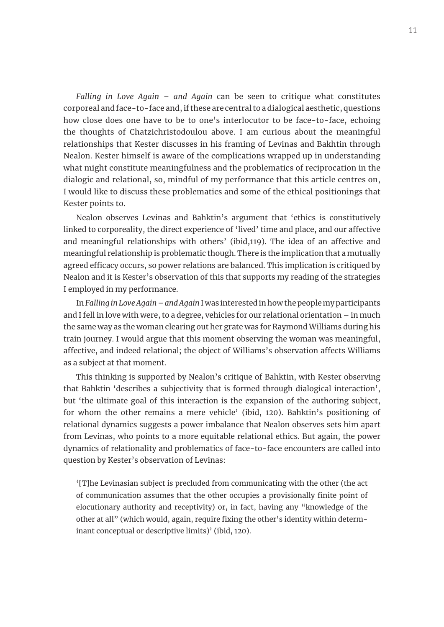*Falling in Love Again – and Again* can be seen to critique what constitutes corporeal and face-to-face and, if these are central to a dialogical aesthetic, questions how close does one have to be to one's interlocutor to be face-to-face, echoing the thoughts of Chatzichristodoulou above. I am curious about the meaningful relationships that Kester discusses in his framing of Levinas and Bakhtin through Nealon. Kester himself is aware of the complications wrapped up in understanding what might constitute meaningfulness and the problematics of reciprocation in the dialogic and relational, so, mindful of my performance that this article centres on, I would like to discuss these problematics and some of the ethical positionings that Kester points to.

Nealon observes Levinas and Bahktin's argument that 'ethics is constitutively linked to corporeality, the direct experience of 'lived' time and place, and our affective and meaningful relationships with others' (ibid,119). The idea of an affective and meaningful relationship is problematic though. There is the implication that a mutually agreed efficacy occurs, so power relations are balanced. This implication is critiqued by Nealon and it is Kester's observation of this that supports my reading of the strategies I employed in my performance.

In *Falling in Love Again – and Again* I was interested in how the people my participants and I fell in love with were, to a degree, vehicles for our relational orientation – in much the same way as the woman clearing out her grate was for Raymond Williams during his train journey. I would argue that this moment observing the woman was meaningful, affective, and indeed relational; the object of Williams's observation affects Williams as a subject at that moment.

This thinking is supported by Nealon's critique of Bahktin, with Kester observing that Bahktin 'describes a subjectivity that is formed through dialogical interaction', but 'the ultimate goal of this interaction is the expansion of the authoring subject, for whom the other remains a mere vehicle' (ibid, 120). Bahktin's positioning of relational dynamics suggests a power imbalance that Nealon observes sets him apart from Levinas, who points to a more equitable relational ethics. But again, the power dynamics of relationality and problematics of face-to-face encounters are called into question by Kester's observation of Levinas:

'[T]he Levinasian subject is precluded from communicating with the other (the act of communication assumes that the other occupies a provisionally finite point of elocutionary authority and receptivity) or, in fact, having any "knowledge of the other at all" (which would, again, require fixing the other's identity within determinant conceptual or descriptive limits)' (ibid, 120).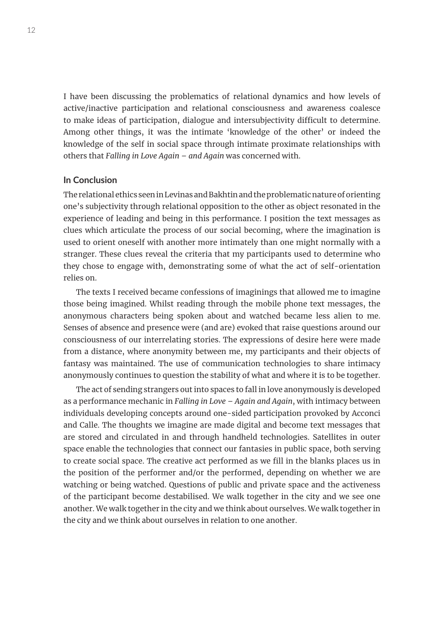I have been discussing the problematics of relational dynamics and how levels of active/inactive participation and relational consciousness and awareness coalesce to make ideas of participation, dialogue and intersubjectivity difficult to determine. Among other things, it was the intimate 'knowledge of the other' or indeed the knowledge of the self in social space through intimate proximate relationships with others that *Falling in Love Again – and Again* was concerned with.

# **In Conclusion**

The relational ethics seen in Levinas and Bakhtin and the problematic nature of orienting one's subjectivity through relational opposition to the other as object resonated in the experience of leading and being in this performance. I position the text messages as clues which articulate the process of our social becoming, where the imagination is used to orient oneself with another more intimately than one might normally with a stranger. These clues reveal the criteria that my participants used to determine who they chose to engage with, demonstrating some of what the act of self-orientation relies on.

The texts I received became confessions of imaginings that allowed me to imagine those being imagined. Whilst reading through the mobile phone text messages, the anonymous characters being spoken about and watched became less alien to me. Senses of absence and presence were (and are) evoked that raise questions around our consciousness of our interrelating stories. The expressions of desire here were made from a distance, where anonymity between me, my participants and their objects of fantasy was maintained. The use of communication technologies to share intimacy anonymously continues to question the stability of what and where it is to be together.

The act of sending strangers out into spaces to fall in love anonymously is developed as a performance mechanic in *Falling in Love – Again and Again*, with intimacy between individuals developing concepts around one-sided participation provoked by Acconci and Calle. The thoughts we imagine are made digital and become text messages that are stored and circulated in and through handheld technologies. Satellites in outer space enable the technologies that connect our fantasies in public space, both serving to create social space. The creative act performed as we fill in the blanks places us in the position of the performer and/or the performed, depending on whether we are watching or being watched. Questions of public and private space and the activeness of the participant become destabilised. We walk together in the city and we see one another. We walk together in the city and we think about ourselves. We walk together in the city and we think about ourselves in relation to one another.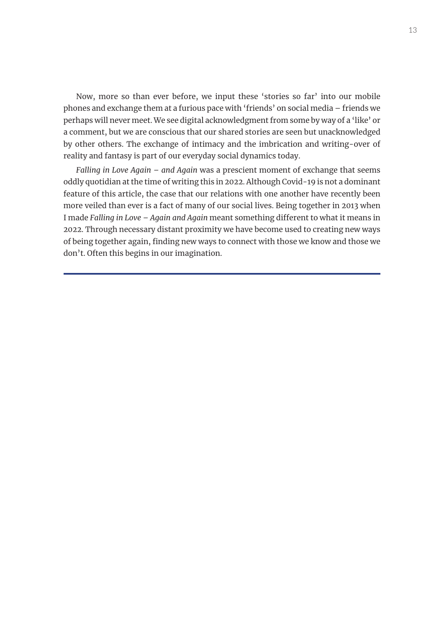Now, more so than ever before, we input these 'stories so far' into our mobile phones and exchange them at a furious pace with 'friends' on social media – friends we perhaps will never meet. We see digital acknowledgment from some by way of a 'like' or a comment, but we are conscious that our shared stories are seen but unacknowledged by other others. The exchange of intimacy and the imbrication and writing-over of reality and fantasy is part of our everyday social dynamics today.

*Falling in Love Again – and Again* was a prescient moment of exchange that seems oddly quotidian at the time of writing this in 2022. Although Covid-19 is not a dominant feature of this article, the case that our relations with one another have recently been more veiled than ever is a fact of many of our social lives. Being together in 2013 when I made *Falling in Love – Again and Again* meant something different to what it means in 2022. Through necessary distant proximity we have become used to creating new ways of being together again, finding new ways to connect with those we know and those we don't. Often this begins in our imagination.